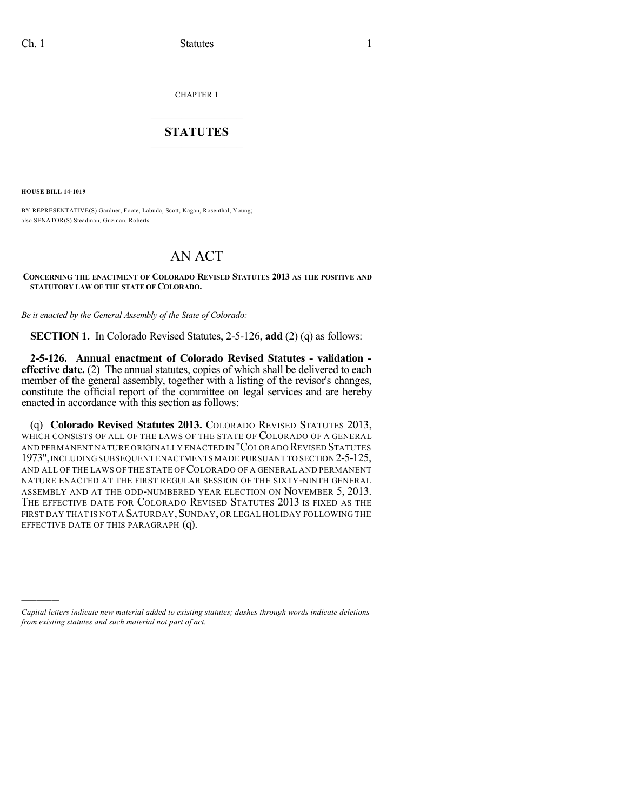CHAPTER 1

## $\mathcal{L}_\text{max}$  . The set of the set of the set of the set of the set of the set of the set of the set of the set of the set of the set of the set of the set of the set of the set of the set of the set of the set of the set **STATUTES**  $\_$   $\_$

**HOUSE BILL 14-1019**

)))))

BY REPRESENTATIVE(S) Gardner, Foote, Labuda, Scott, Kagan, Rosenthal, Young; also SENATOR(S) Steadman, Guzman, Roberts.

## AN ACT

## **CONCERNING THE ENACTMENT OF COLORADO REVISED STATUTES 2013 AS THE POSITIVE AND STATUTORY LAW OF THE STATE OF COLORADO.**

*Be it enacted by the General Assembly of the State of Colorado:*

**SECTION 1.** In Colorado Revised Statutes, 2-5-126, **add** (2) (q) as follows:

**2-5-126. Annual enactment of Colorado Revised Statutes - validation effective date.** (2) The annual statutes, copies of which shall be delivered to each member of the general assembly, together with a listing of the revisor's changes, constitute the official report of the committee on legal services and are hereby enacted in accordance with this section as follows:

(q) **Colorado Revised Statutes 2013.** COLORADO REVISED STATUTES 2013, WHICH CONSISTS OF ALL OF THE LAWS OF THE STATE OF COLORADO OF A GENERAL AND PERMANENT NATURE ORIGINALLY ENACTED IN "COLORADO REVISED STATUTES 1973", INCLUDING SUBSEQUENT ENACTMENTS MADE PURSUANT TO SECTION 2-5-125, AND ALL OF THE LAWS OF THE STATE OF COLORADO OF A GENERAL AND PERMANENT NATURE ENACTED AT THE FIRST REGULAR SESSION OF THE SIXTY-NINTH GENERAL ASSEMBLY AND AT THE ODD-NUMBERED YEAR ELECTION ON NOVEMBER 5, 2013. THE EFFECTIVE DATE FOR COLORADO REVISED STATUTES 2013 IS FIXED AS THE FIRST DAY THAT IS NOT A SATURDAY, SUNDAY, OR LEGAL HOLIDAY FOLLOWING THE EFFECTIVE DATE OF THIS PARAGRAPH (q).

*Capital letters indicate new material added to existing statutes; dashes through words indicate deletions from existing statutes and such material not part of act.*